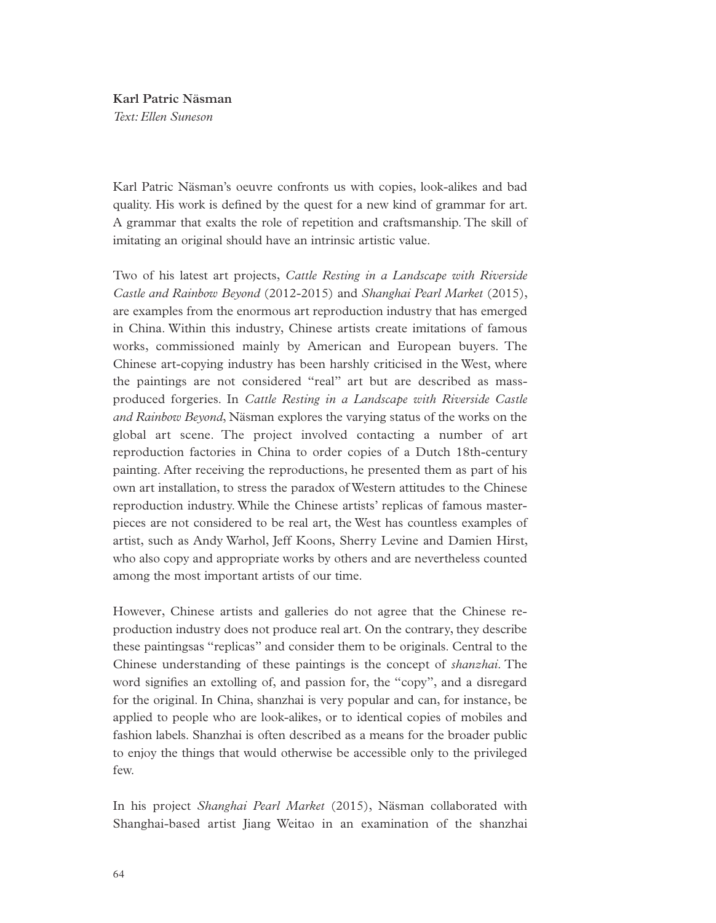## **Karl Patric Näsman**

*Text: Ellen Suneson* 

Karl Patric Näsman's oeuvre confronts us with copies, look-alikes and bad quality. His work is defined by the quest for a new kind of grammar for art. A grammar that exalts the role of repetition and craftsmanship. The skill of imitating an original should have an intrinsic artistic value.

Two of his latest art projects, *Cattle Resting in a Landscape with Riverside Castle and Rainbow Beyond* (2012-2015) and *Shanghai Pearl Market* (2015), are examples from the enormous art reproduction industry that has emerged in China. Within this industry, Chinese artists create imitations of famous works, commissioned mainly by American and European buyers. The Chinese art-copying industry has been harshly criticised in the West, where the paintings are not considered "real" art but are described as massproduced forgeries. In *Cattle Resting in a Landscape with Riverside Castle and Rainbow Beyond*, Näsman explores the varying status of the works on the global art scene. The project involved contacting a number of art reproduction factories in China to order copies of a Dutch 18th-century painting. After receiving the reproductions, he presented them as part of his own art installation, to stress the paradox of Western attitudes to the Chinese reproduction industry. While the Chinese artists' replicas of famous masterpieces are not considered to be real art, the West has countless examples of artist, such as Andy Warhol, Jeff Koons, Sherry Levine and Damien Hirst, who also copy and appropriate works by others and are nevertheless counted among the most important artists of our time.

However, Chinese artists and galleries do not agree that the Chinese reproduction industry does not produce real art. On the contrary, they describe these paintingsas "replicas" and consider them to be originals. Central to the Chinese understanding of these paintings is the concept of *shanzhai*. The word signifies an extolling of, and passion for, the "copy", and a disregard for the original. In China, shanzhai is very popular and can, for instance, be applied to people who are look-alikes, or to identical copies of mobiles and fashion labels. Shanzhai is often described as a means for the broader public to enjoy the things that would otherwise be accessible only to the privileged few.

In his project *Shanghai Pearl Market* (2015), Näsman collaborated with Shanghai-based artist Jiang Weitao in an examination of the shanzhai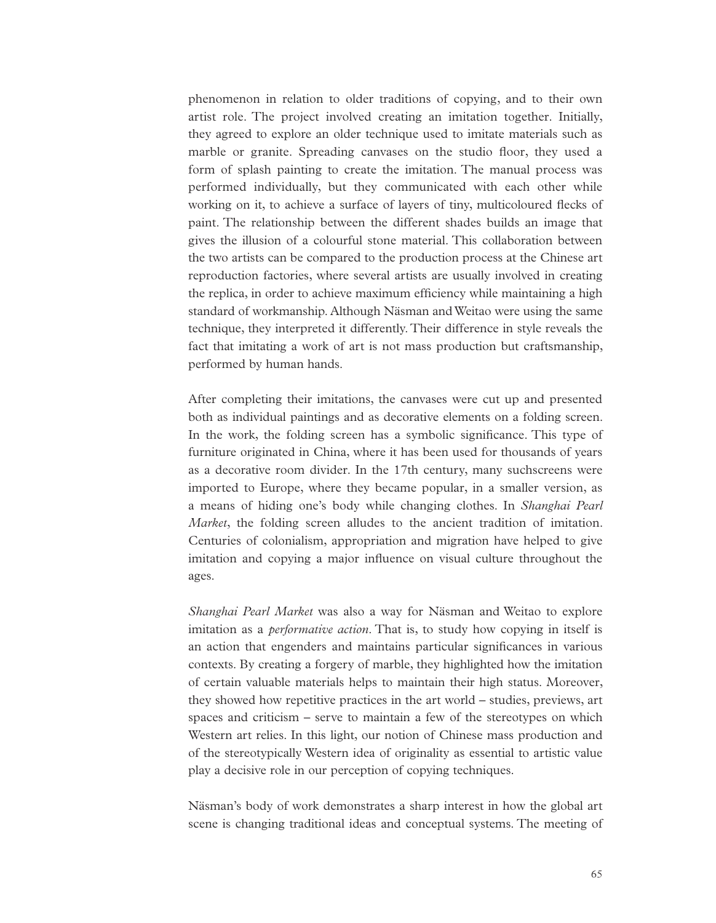phenomenon in relation to older traditions of copying, and to their own artist role. The project involved creating an imitation together. Initially, they agreed to explore an older technique used to imitate materials such as marble or granite. Spreading canvases on the studio floor, they used a form of splash painting to create the imitation. The manual process was performed individually, but they communicated with each other while working on it, to achieve a surface of layers of tiny, multicoloured flecks of paint. The relationship between the different shades builds an image that gives the illusion of a colourful stone material. This collaboration between the two artists can be compared to the production process at the Chinese art reproduction factories, where several artists are usually involved in creating the replica, in order to achieve maximum efficiency while maintaining a high standard of workmanship. Although Näsman and Weitao were using the same technique, they interpreted it differently. Their difference in style reveals the fact that imitating a work of art is not mass production but craftsmanship, performed by human hands.

After completing their imitations, the canvases were cut up and presented both as individual paintings and as decorative elements on a folding screen. In the work, the folding screen has a symbolic significance. This type of furniture originated in China, where it has been used for thousands of years as a decorative room divider. In the 17th century, many suchscreens were imported to Europe, where they became popular, in a smaller version, as a means of hiding one's body while changing clothes. In *Shanghai Pearl Market*, the folding screen alludes to the ancient tradition of imitation. Centuries of colonialism, appropriation and migration have helped to give imitation and copying a major influence on visual culture throughout the ages.

*Shanghai Pearl Market* was also a way for Näsman and Weitao to explore imitation as a *performative action*. That is, to study how copying in itself is an action that engenders and maintains particular significances in various contexts. By creating a forgery of marble, they highlighted how the imitation of certain valuable materials helps to maintain their high status. Moreover, they showed how repetitive practices in the art world – studies, previews, art spaces and criticism – serve to maintain a few of the stereotypes on which Western art relies. In this light, our notion of Chinese mass production and of the stereotypically Western idea of originality as essential to artistic value play a decisive role in our perception of copying techniques.

Näsman's body of work demonstrates a sharp interest in how the global art scene is changing traditional ideas and conceptual systems. The meeting of